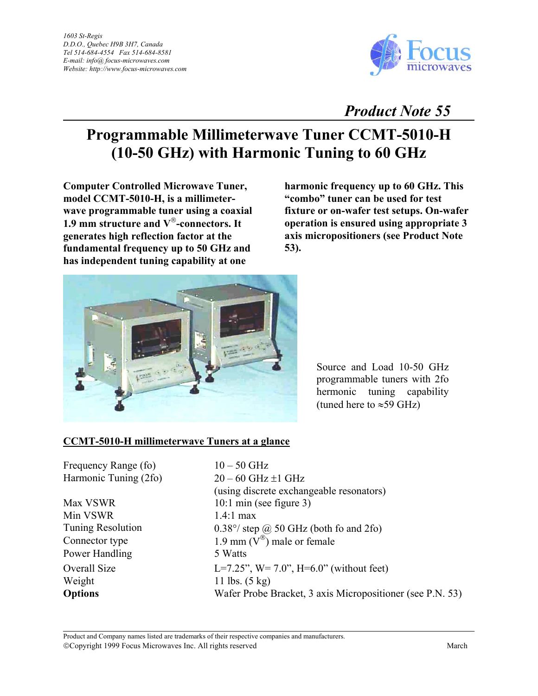

## *Product Note 55*

## **Programmable Millimeterwave Tuner CCMT-5010-H (10-50 GHz) with Harmonic Tuning to 60 GHz**

**Computer Controlled Microwave Tuner, model CCMT-5010-H, is a millimeterwave programmable tuner using a coaxial 1.9 mm structure and V-connectors. It generates high reflection factor at the fundamental frequency up to 50 GHz and has independent tuning capability at one** 

**harmonic frequency up to 60 GHz. This "combo" tuner can be used for test fixture or on-wafer test setups. On-wafer operation is ensured using appropriate 3 axis micropositioners (see Product Note 53).** 



Source and Load 10-50 GHz programmable tuners with 2fo hermonic tuning capability (tuned here to  $\approx$ 59 GHz)

## **CCMT-5010-H millimeterwave Tuners at a glance**

Min VSWR  $1.4:1$  max Power Handling 5 Watts Weight  $11 \text{ lbs.} (5 \text{ kg})$ 

Frequency Range (fo)  $10 - 50$  GHz Harmonic Tuning  $(26)$  20 – 60 GHz  $\pm 1$  GHz (using discrete exchangeable resonators) Max VSWR 10:1 min (see figure 3) Tuning Resolution 0.38°/ step @ 50 GHz (both fo and 2fo) Connector type 1.9 mm  $(V^{\circledast})$  male or female Overall Size  $L=7.25$ ",  $W=7.0$ ",  $H=6.0$ " (without feet) **Options** Wafer Probe Bracket, 3 axis Micropositioner (see P.N. 53)